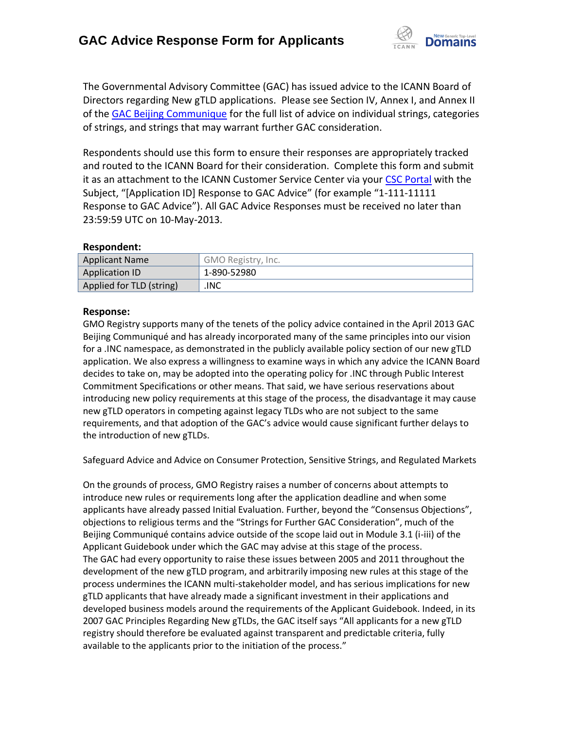

The Governmental Advisory Committee (GAC) has issued advice to the ICANN Board of Directors regarding New gTLD applications. Please see Section IV, Annex I, and Annex II of the [GAC Beijing Communique](http://www.icann.org/en/news/correspondence/gac-to-board-18apr13-en.pdf) for the full list of advice on individual strings, categories of strings, and strings that may warrant further GAC consideration.

Respondents should use this form to ensure their responses are appropriately tracked and routed to the ICANN Board for their consideration. Complete this form and submit it as an attachment to the ICANN Customer Service Center via your CSC [Portal](https://myicann.secure.force.com/) with the Subject, "[Application ID] Response to GAC Advice" (for example "1-111-11111 Response to GAC Advice"). All GAC Advice Responses must be received no later than 23:59:59 UTC on 10-May-2013.

## **Respondent:**

| <b>Applicant Name</b>    | GMO Registry, Inc. |
|--------------------------|--------------------|
| Application ID           | 1-890-52980        |
| Applied for TLD (string) | .INC               |

## **Response:**

GMO Registry supports many of the tenets of the policy advice contained in the April 2013 GAC Beijing Communiqué and has already incorporated many of the same principles into our vision for a .INC namespace, as demonstrated in the publicly available policy section of our new gTLD application. We also express a willingness to examine ways in which any advice the ICANN Board decides to take on, may be adopted into the operating policy for .INC through Public Interest Commitment Specifications or other means. That said, we have serious reservations about introducing new policy requirements at this stage of the process, the disadvantage it may cause new gTLD operators in competing against legacy TLDs who are not subject to the same requirements, and that adoption of the GAC's advice would cause significant further delays to the introduction of new gTLDs.

Safeguard Advice and Advice on Consumer Protection, Sensitive Strings, and Regulated Markets

On the grounds of process, GMO Registry raises a number of concerns about attempts to introduce new rules or requirements long after the application deadline and when some applicants have already passed Initial Evaluation. Further, beyond the "Consensus Objections", objections to religious terms and the "Strings for Further GAC Consideration", much of the Beijing Communiqué contains advice outside of the scope laid out in Module 3.1 (i-iii) of the Applicant Guidebook under which the GAC may advise at this stage of the process. The GAC had every opportunity to raise these issues between 2005 and 2011 throughout the development of the new gTLD program, and arbitrarily imposing new rules at this stage of the process undermines the ICANN multi-stakeholder model, and has serious implications for new gTLD applicants that have already made a significant investment in their applications and developed business models around the requirements of the Applicant Guidebook. Indeed, in its 2007 GAC Principles Regarding New gTLDs, the GAC itself says "All applicants for a new gTLD registry should therefore be evaluated against transparent and predictable criteria, fully available to the applicants prior to the initiation of the process."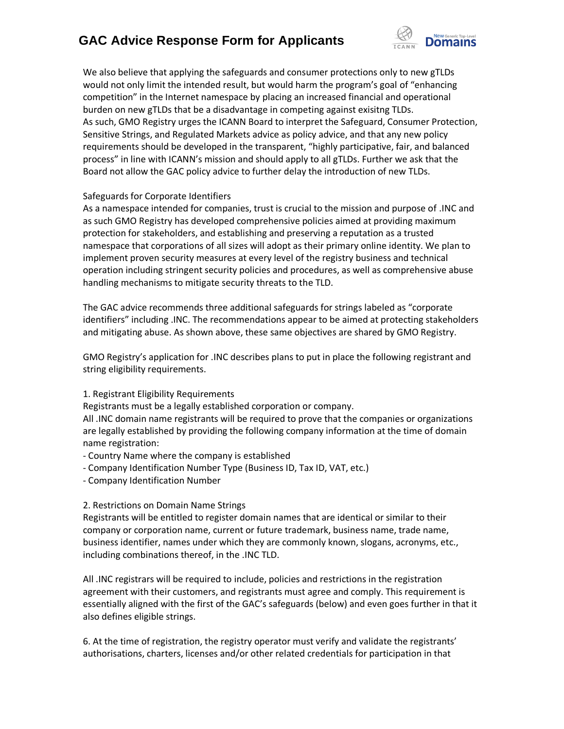# **GAC Advice Response Form for Applicants**



We also believe that applying the safeguards and consumer protections only to new gTLDs would not only limit the intended result, but would harm the program's goal of "enhancing competition" in the Internet namespace by placing an increased financial and operational burden on new gTLDs that be a disadvantage in competing against exisitng TLDs. As such, GMO Registry urges the ICANN Board to interpret the Safeguard, Consumer Protection, Sensitive Strings, and Regulated Markets advice as policy advice, and that any new policy requirements should be developed in the transparent, "highly participative, fair, and balanced process" in line with ICANN's mission and should apply to all gTLDs. Further we ask that the Board not allow the GAC policy advice to further delay the introduction of new TLDs.

## Safeguards for Corporate Identifiers

As a namespace intended for companies, trust is crucial to the mission and purpose of .INC and as such GMO Registry has developed comprehensive policies aimed at providing maximum protection for stakeholders, and establishing and preserving a reputation as a trusted namespace that corporations of all sizes will adopt as their primary online identity. We plan to implement proven security measures at every level of the registry business and technical operation including stringent security policies and procedures, as well as comprehensive abuse handling mechanisms to mitigate security threats to the TLD.

The GAC advice recommends three additional safeguards for strings labeled as "corporate identifiers" including .INC. The recommendations appear to be aimed at protecting stakeholders and mitigating abuse. As shown above, these same objectives are shared by GMO Registry.

GMO Registry's application for .INC describes plans to put in place the following registrant and string eligibility requirements.

## 1. Registrant Eligibility Requirements

Registrants must be a legally established corporation or company.

All .INC domain name registrants will be required to prove that the companies or organizations are legally established by providing the following company information at the time of domain name registration:

- Country Name where the company is established
- Company Identification Number Type (Business ID, Tax ID, VAT, etc.)
- Company Identification Number

## 2. Restrictions on Domain Name Strings

Registrants will be entitled to register domain names that are identical or similar to their company or corporation name, current or future trademark, business name, trade name, business identifier, names under which they are commonly known, slogans, acronyms, etc., including combinations thereof, in the .INC TLD.

All .INC registrars will be required to include, policies and restrictions in the registration agreement with their customers, and registrants must agree and comply. This requirement is essentially aligned with the first of the GAC's safeguards (below) and even goes further in that it also defines eligible strings.

6. At the time of registration, the registry operator must verify and validate the registrants' authorisations, charters, licenses and/or other related credentials for participation in that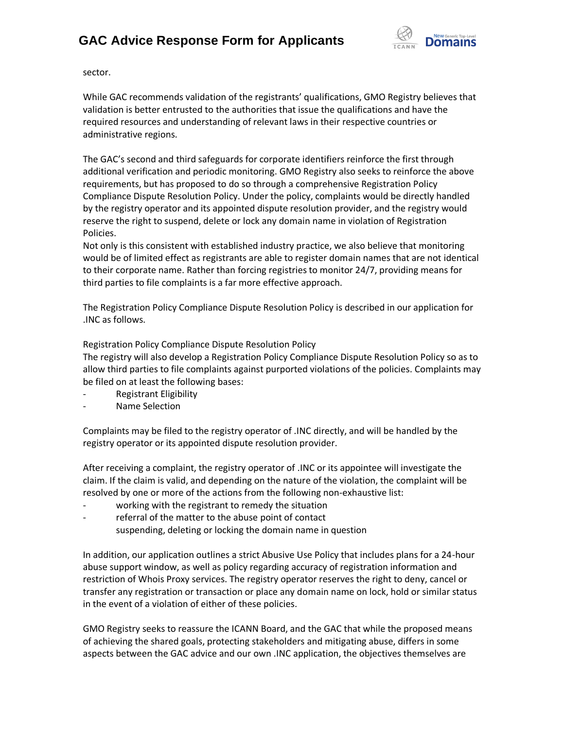

sector.

While GAC recommends validation of the registrants' qualifications, GMO Registry believes that validation is better entrusted to the authorities that issue the qualifications and have the required resources and understanding of relevant laws in their respective countries or administrative regions.

The GAC's second and third safeguards for corporate identifiers reinforce the first through additional verification and periodic monitoring. GMO Registry also seeks to reinforce the above requirements, but has proposed to do so through a comprehensive Registration Policy Compliance Dispute Resolution Policy. Under the policy, complaints would be directly handled by the registry operator and its appointed dispute resolution provider, and the registry would reserve the right to suspend, delete or lock any domain name in violation of Registration Policies.

Not only is this consistent with established industry practice, we also believe that monitoring would be of limited effect as registrants are able to register domain names that are not identical to their corporate name. Rather than forcing registries to monitor 24/7, providing means for third parties to file complaints is a far more effective approach.

The Registration Policy Compliance Dispute Resolution Policy is described in our application for .INC as follows.

Registration Policy Compliance Dispute Resolution Policy

The registry will also develop a Registration Policy Compliance Dispute Resolution Policy so as to allow third parties to file complaints against purported violations of the policies. Complaints may be filed on at least the following bases:

- Registrant Eligibility
- Name Selection

Complaints may be filed to the registry operator of .INC directly, and will be handled by the registry operator or its appointed dispute resolution provider.

After receiving a complaint, the registry operator of .INC or its appointee will investigate the claim. If the claim is valid, and depending on the nature of the violation, the complaint will be resolved by one or more of the actions from the following non-exhaustive list:

- working with the registrant to remedy the situation
- referral of the matter to the abuse point of contact
	- suspending, deleting or locking the domain name in question

In addition, our application outlines a strict Abusive Use Policy that includes plans for a 24-hour abuse support window, as well as policy regarding accuracy of registration information and restriction of Whois Proxy services. The registry operator reserves the right to deny, cancel or transfer any registration or transaction or place any domain name on lock, hold or similar status in the event of a violation of either of these policies.

GMO Registry seeks to reassure the ICANN Board, and the GAC that while the proposed means of achieving the shared goals, protecting stakeholders and mitigating abuse, differs in some aspects between the GAC advice and our own .INC application, the objectives themselves are